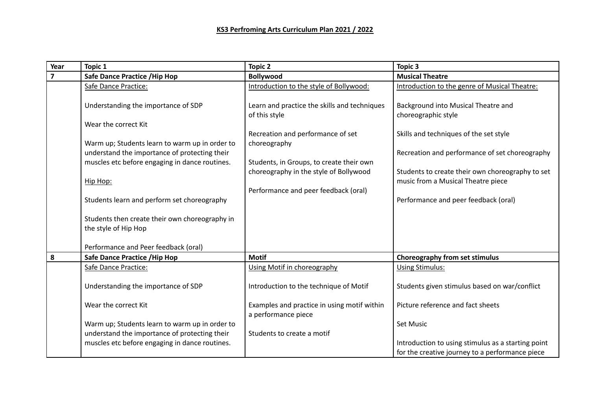| Year                    | Topic 1                                                                                         | <b>Topic 2</b>                               | Topic 3                                            |
|-------------------------|-------------------------------------------------------------------------------------------------|----------------------------------------------|----------------------------------------------------|
| $\overline{\mathbf{z}}$ | <b>Safe Dance Practice / Hip Hop</b>                                                            | <b>Bollywood</b>                             | <b>Musical Theatre</b>                             |
|                         | Safe Dance Practice:                                                                            | Introduction to the style of Bollywood:      | Introduction to the genre of Musical Theatre:      |
|                         |                                                                                                 |                                              |                                                    |
|                         | Understanding the importance of SDP                                                             | Learn and practice the skills and techniques | Background into Musical Theatre and                |
|                         |                                                                                                 | of this style                                | choreographic style                                |
|                         | Wear the correct Kit                                                                            |                                              |                                                    |
|                         |                                                                                                 | Recreation and performance of set            | Skills and techniques of the set style             |
|                         | Warm up; Students learn to warm up in order to<br>understand the importance of protecting their | choreography                                 |                                                    |
|                         | muscles etc before engaging in dance routines.                                                  | Students, in Groups, to create their own     | Recreation and performance of set choreography     |
|                         |                                                                                                 | choreography in the style of Bollywood       | Students to create their own choreography to set   |
|                         | Hip Hop:                                                                                        |                                              | music from a Musical Theatre piece                 |
|                         |                                                                                                 | Performance and peer feedback (oral)         |                                                    |
|                         | Students learn and perform set choreography                                                     |                                              | Performance and peer feedback (oral)               |
|                         |                                                                                                 |                                              |                                                    |
|                         | Students then create their own choreography in                                                  |                                              |                                                    |
|                         | the style of Hip Hop                                                                            |                                              |                                                    |
|                         |                                                                                                 |                                              |                                                    |
|                         | Performance and Peer feedback (oral)                                                            |                                              |                                                    |
| 8                       | <b>Safe Dance Practice / Hip Hop</b>                                                            | <b>Motif</b>                                 | Choreography from set stimulus                     |
|                         | Safe Dance Practice:                                                                            | Using Motif in choreography                  | <b>Using Stimulus:</b>                             |
|                         |                                                                                                 |                                              |                                                    |
|                         | Understanding the importance of SDP                                                             | Introduction to the technique of Motif       | Students given stimulus based on war/conflict      |
|                         |                                                                                                 |                                              |                                                    |
|                         | Wear the correct Kit                                                                            | Examples and practice in using motif within  | Picture reference and fact sheets                  |
|                         |                                                                                                 | a performance piece                          |                                                    |
|                         | Warm up; Students learn to warm up in order to                                                  |                                              | <b>Set Music</b>                                   |
|                         | understand the importance of protecting their                                                   | Students to create a motif                   |                                                    |
|                         | muscles etc before engaging in dance routines.                                                  |                                              | Introduction to using stimulus as a starting point |
|                         |                                                                                                 |                                              | for the creative journey to a performance piece    |